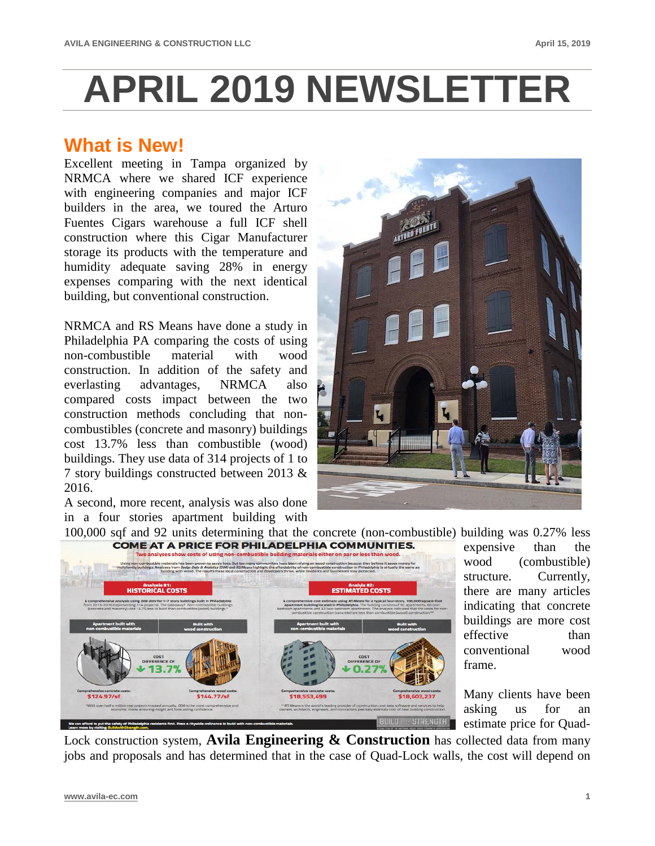## **APRIL 2019 NEWSLETTER**

## **What is New!**

Excellent meeting in Tampa organized by NRMCA where we shared ICF experience with engineering companies and major ICF builders in the area, we toured the Arturo Fuentes Cigars warehouse a full ICF shell construction where this Cigar Manufacturer storage its products with the temperature and humidity adequate saving 28% in energy expenses comparing with the next identical building, but conventional construction.

NRMCA and RS Means have done a study in Philadelphia PA comparing the costs of using non-combustible material with wood construction. In addition of the safety and everlasting advantages, NRMCA also compared costs impact between the two construction methods concluding that noncombustibles (concrete and masonry) buildings cost 13.7% less than combustible (wood) buildings. They use data of 314 projects of 1 to 7 story buildings constructed between 2013 & 2016.

A second, more recent, analysis was also done in a four stories apartment building with



expensive than the wood (combustible) structure. Currently, there are many articles indicating that concrete buildings are more cost effective than conventional wood

Many clients have been asking us for an estimate price for Quad-

Lock construction system, **Avila Engineering & Construction** has collected data from many jobs and proposals and has determined that in the case of Quad-Lock walls, the cost will depend on

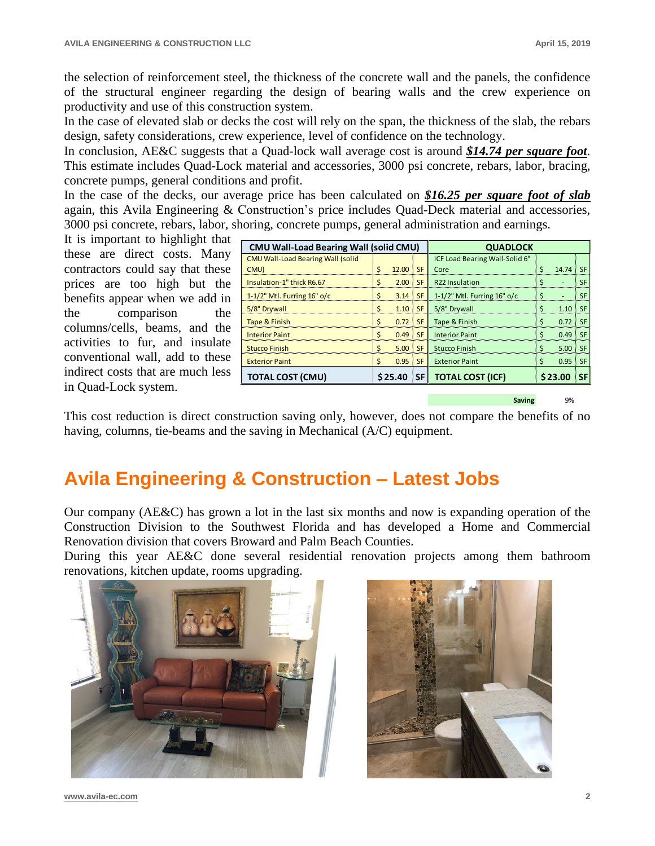the selection of reinforcement steel, the thickness of the concrete wall and the panels, the confidence of the structural engineer regarding the design of bearing walls and the crew experience on productivity and use of this construction system.

In the case of elevated slab or decks the cost will rely on the span, the thickness of the slab, the rebars design, safety considerations, crew experience, level of confidence on the technology.

In conclusion, AE&C suggests that a Quad-lock wall average cost is around *\$14.74 per square foot*. This estimate includes Quad-Lock material and accessories, 3000 psi concrete, rebars, labor, bracing, concrete pumps, general conditions and profit.

In the case of the decks, our average price has been calculated on *\$16.25 per square foot of slab* again, this Avila Engineering & Construction's price includes Quad-Deck material and accessories, 3000 psi concrete, rebars, labor, shoring, concrete pumps, general administration and earnings.

It is important to highlight that these are direct costs. Many contractors could say that these prices are too high but the benefits appear when we add in the comparison the columns/cells, beams, and the activities to fur, and insulate conventional wall, add to these indirect costs that are much less in Quad-Lock system.

| <b>CMU Wall-Load Bearing Wall (solid CMU)</b> |    |         |            | <b>QUADLOCK</b>                |    |         |           |
|-----------------------------------------------|----|---------|------------|--------------------------------|----|---------|-----------|
| <b>CMU Wall-Load Bearing Wall (solid</b>      |    |         |            | ICF Load Bearing Wall-Solid 6" |    |         |           |
| CMU)                                          | Ś  | 12.00   | <b>SF</b>  | Core                           | Ś  | 14.74   | <b>SF</b> |
| Insulation-1" thick R6.67                     | \$ | 2.00    | <b>SF</b>  | R <sub>22</sub> Insulation     | \$ | ۰       | <b>SF</b> |
| 1-1/2" Mtl. Furring $16"$ o/c                 | \$ | 3.14    | <b>SF</b>  | 1-1/2" Mtl. Furring $16"$ o/c  | Ś  | ۰       | <b>SF</b> |
| 5/8" Drywall                                  | Ś  | 1.10    | <b>SF</b>  | 5/8" Drywall                   | Ś  | 1.10    | <b>SF</b> |
| Tape & Finish                                 | Ś  | 0.72    | <b>SF</b>  | Tape & Finish                  | Ś  | 0.72    | <b>SF</b> |
| <b>Interior Paint</b>                         | Ś  | 0.49    | <b>SF</b>  | <b>Interior Paint</b>          | Ś  | 0.49    | <b>SF</b> |
| Stucco Finish                                 | Ś  | 5.00    | <b>SF</b>  | Stucco Finish                  | Ś  | 5.00    | <b>SF</b> |
| <b>Exterior Paint</b>                         | Ś  | 0.95    | <b>SF</b>  | <b>Exterior Paint</b>          | Ś  | 0.95    | <b>SF</b> |
| <b>TOTAL COST (CMU)</b>                       |    | \$25.40 | <b>SFI</b> | <b>TOTAL COST (ICF)</b>        |    | \$23.00 | <b>SF</b> |
|                                               |    |         |            |                                |    |         |           |

**Saving** 9%

This cost reduction is direct construction saving only, however, does not compare the benefits of no having, columns, tie-beams and the saving in Mechanical (A/C) equipment.

## **Avila Engineering & Construction – Latest Jobs**

Our company (AE&C) has grown a lot in the last six months and now is expanding operation of the Construction Division to the Southwest Florida and has developed a Home and Commercial Renovation division that covers Broward and Palm Beach Counties.

During this year AE&C done several residential renovation projects among them bathroom renovations, kitchen update, rooms upgrading.